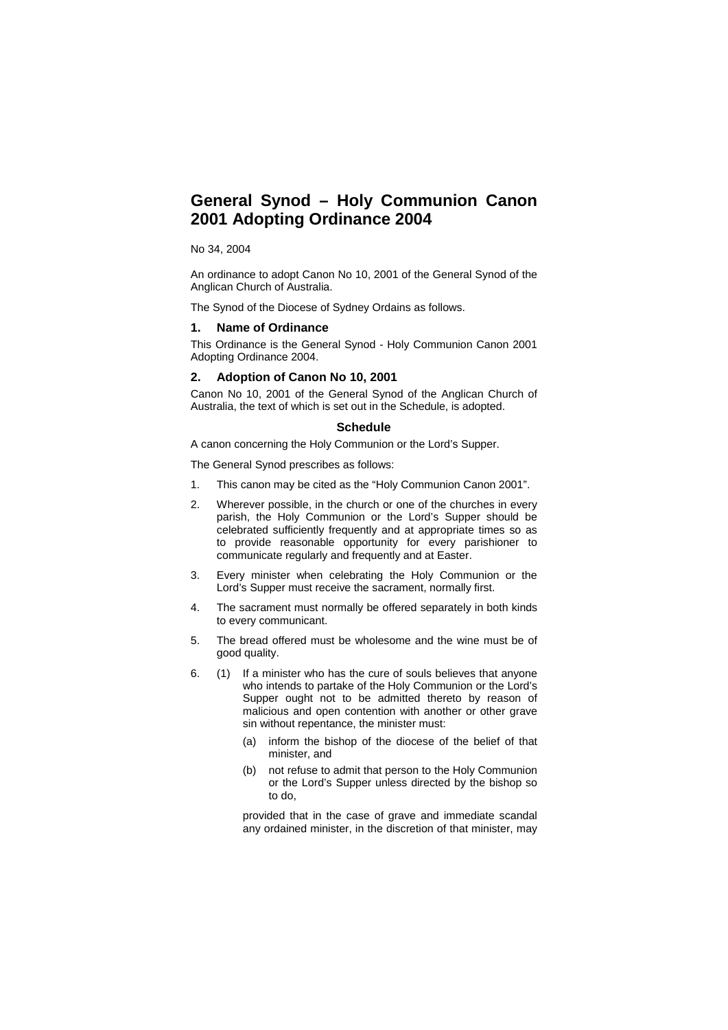# **General Synod – Holy Communion Canon 2001 Adopting Ordinance 2004**

No 34, 2004

An ordinance to adopt Canon No 10, 2001 of the General Synod of the Anglican Church of Australia.

The Synod of the Diocese of Sydney Ordains as follows.

## **1. Name of Ordinance**

This Ordinance is the General Synod - Holy Communion Canon 2001 Adopting Ordinance 2004.

#### **2. Adoption of Canon No 10, 2001**

Canon No 10, 2001 of the General Synod of the Anglican Church of Australia, the text of which is set out in the Schedule, is adopted.

#### **Schedule**

A canon concerning the Holy Communion or the Lord's Supper.

The General Synod prescribes as follows:

- 1. This canon may be cited as the "Holy Communion Canon 2001".
- 2. Wherever possible, in the church or one of the churches in every parish, the Holy Communion or the Lord's Supper should be celebrated sufficiently frequently and at appropriate times so as to provide reasonable opportunity for every parishioner to communicate regularly and frequently and at Easter.
- 3. Every minister when celebrating the Holy Communion or the Lord's Supper must receive the sacrament, normally first.
- 4. The sacrament must normally be offered separately in both kinds to every communicant.
- 5. The bread offered must be wholesome and the wine must be of good quality.
- 6. (1) If a minister who has the cure of souls believes that anyone who intends to partake of the Holy Communion or the Lord's Supper ought not to be admitted thereto by reason of malicious and open contention with another or other grave sin without repentance, the minister must:
	- (a) inform the bishop of the diocese of the belief of that minister, and
	- (b) not refuse to admit that person to the Holy Communion or the Lord's Supper unless directed by the bishop so to do,

provided that in the case of grave and immediate scandal any ordained minister, in the discretion of that minister, may